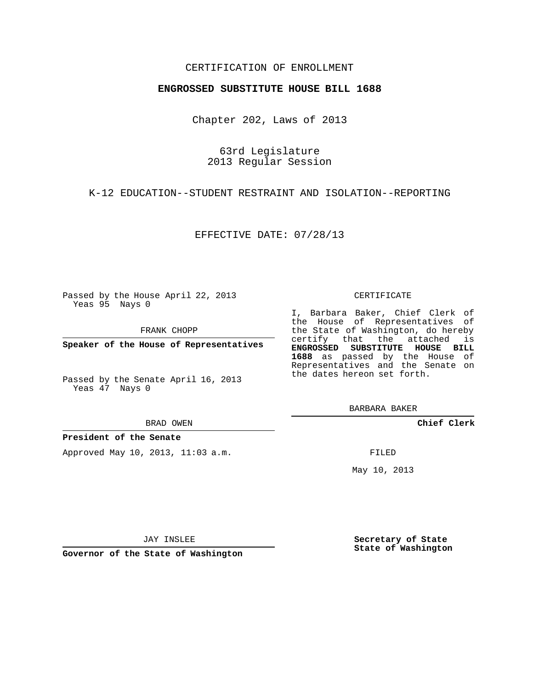## CERTIFICATION OF ENROLLMENT

### **ENGROSSED SUBSTITUTE HOUSE BILL 1688**

Chapter 202, Laws of 2013

63rd Legislature 2013 Regular Session

K-12 EDUCATION--STUDENT RESTRAINT AND ISOLATION--REPORTING

EFFECTIVE DATE: 07/28/13

Passed by the House April 22, 2013 Yeas 95 Nays 0

FRANK CHOPP

**Speaker of the House of Representatives**

Passed by the Senate April 16, 2013 Yeas 47 Nays 0

#### BRAD OWEN

## **President of the Senate**

Approved May 10, 2013, 11:03 a.m.

#### CERTIFICATE

I, Barbara Baker, Chief Clerk of the House of Representatives of the State of Washington, do hereby certify that the attached is **ENGROSSED SUBSTITUTE HOUSE BILL 1688** as passed by the House of Representatives and the Senate on the dates hereon set forth.

BARBARA BAKER

**Chief Clerk**

FILED

May 10, 2013

JAY INSLEE

**Governor of the State of Washington**

**Secretary of State State of Washington**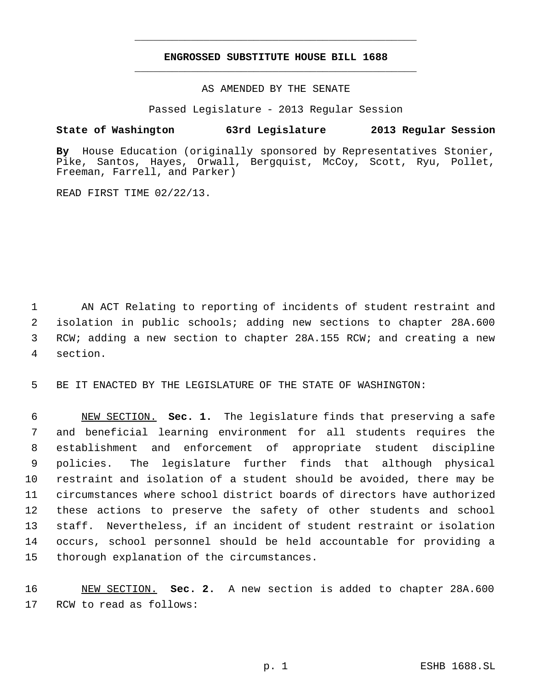# **ENGROSSED SUBSTITUTE HOUSE BILL 1688** \_\_\_\_\_\_\_\_\_\_\_\_\_\_\_\_\_\_\_\_\_\_\_\_\_\_\_\_\_\_\_\_\_\_\_\_\_\_\_\_\_\_\_\_\_

\_\_\_\_\_\_\_\_\_\_\_\_\_\_\_\_\_\_\_\_\_\_\_\_\_\_\_\_\_\_\_\_\_\_\_\_\_\_\_\_\_\_\_\_\_

AS AMENDED BY THE SENATE

Passed Legislature - 2013 Regular Session

# **State of Washington 63rd Legislature 2013 Regular Session**

**By** House Education (originally sponsored by Representatives Stonier, Pike, Santos, Hayes, Orwall, Bergquist, McCoy, Scott, Ryu, Pollet, Freeman, Farrell, and Parker)

READ FIRST TIME 02/22/13.

 AN ACT Relating to reporting of incidents of student restraint and isolation in public schools; adding new sections to chapter 28A.600 RCW; adding a new section to chapter 28A.155 RCW; and creating a new section.

BE IT ENACTED BY THE LEGISLATURE OF THE STATE OF WASHINGTON:

 NEW SECTION. **Sec. 1.** The legislature finds that preserving a safe and beneficial learning environment for all students requires the establishment and enforcement of appropriate student discipline policies. The legislature further finds that although physical restraint and isolation of a student should be avoided, there may be circumstances where school district boards of directors have authorized these actions to preserve the safety of other students and school staff. Nevertheless, if an incident of student restraint or isolation occurs, school personnel should be held accountable for providing a thorough explanation of the circumstances.

 NEW SECTION. **Sec. 2.** A new section is added to chapter 28A.600 RCW to read as follows: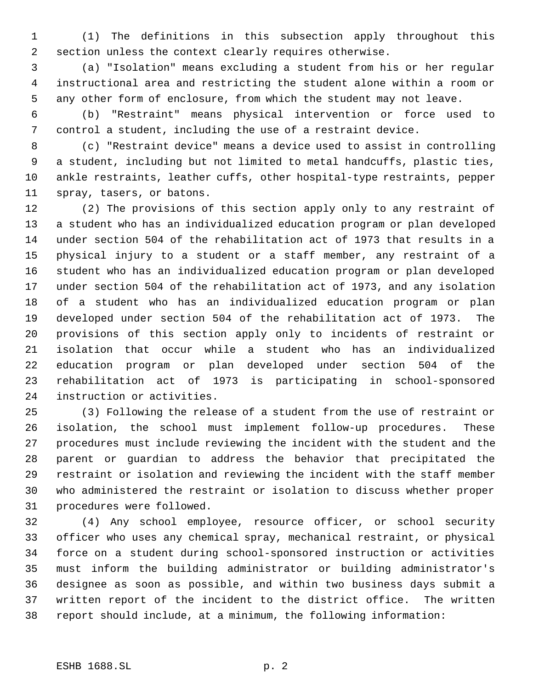(1) The definitions in this subsection apply throughout this section unless the context clearly requires otherwise.

 (a) "Isolation" means excluding a student from his or her regular instructional area and restricting the student alone within a room or any other form of enclosure, from which the student may not leave.

 (b) "Restraint" means physical intervention or force used to control a student, including the use of a restraint device.

 (c) "Restraint device" means a device used to assist in controlling a student, including but not limited to metal handcuffs, plastic ties, ankle restraints, leather cuffs, other hospital-type restraints, pepper spray, tasers, or batons.

 (2) The provisions of this section apply only to any restraint of a student who has an individualized education program or plan developed under section 504 of the rehabilitation act of 1973 that results in a physical injury to a student or a staff member, any restraint of a student who has an individualized education program or plan developed under section 504 of the rehabilitation act of 1973, and any isolation of a student who has an individualized education program or plan developed under section 504 of the rehabilitation act of 1973. The provisions of this section apply only to incidents of restraint or isolation that occur while a student who has an individualized education program or plan developed under section 504 of the rehabilitation act of 1973 is participating in school-sponsored instruction or activities.

 (3) Following the release of a student from the use of restraint or isolation, the school must implement follow-up procedures. These procedures must include reviewing the incident with the student and the parent or guardian to address the behavior that precipitated the restraint or isolation and reviewing the incident with the staff member who administered the restraint or isolation to discuss whether proper procedures were followed.

 (4) Any school employee, resource officer, or school security officer who uses any chemical spray, mechanical restraint, or physical force on a student during school-sponsored instruction or activities must inform the building administrator or building administrator's designee as soon as possible, and within two business days submit a written report of the incident to the district office. The written report should include, at a minimum, the following information: